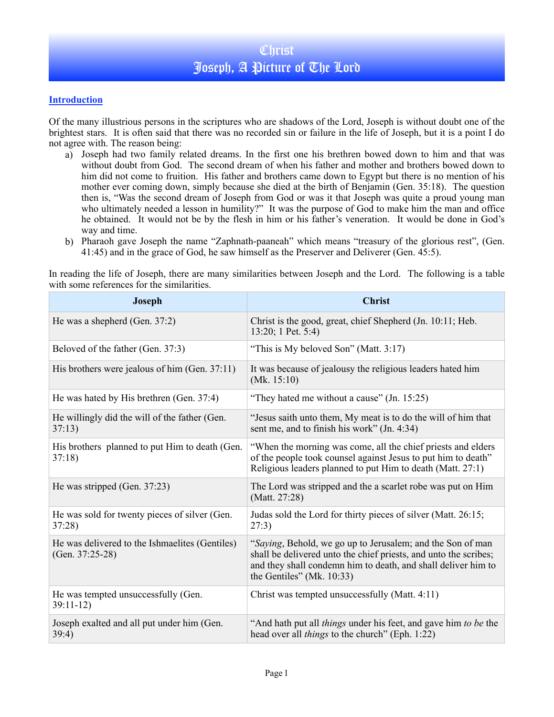## **Introduction**

Of the many illustrious persons in the scriptures who are shadows of the Lord, Joseph is without doubt one of the brightest stars. It is often said that there was no recorded sin or failure in the life of Joseph, but it is a point I do not agree with. The reason being:

- a) Joseph had two family related dreams. In the first one his brethren bowed down to him and that was without doubt from God. The second dream of when his father and mother and brothers bowed down to him did not come to fruition. His father and brothers came down to Egypt but there is no mention of his mother ever coming down, simply because she died at the birth of Benjamin (Gen. 35:18). The question then is, "Was the second dream of Joseph from God or was it that Joseph was quite a proud young man who ultimately needed a lesson in humility?" It was the purpose of God to make him the man and office he obtained. It would not be by the flesh in him or his father's veneration. It would be done in God's way and time.
- b) Pharaoh gave Joseph the name "Zaphnath-paaneah" which means "treasury of the glorious rest", (Gen. 41:45) and in the grace of God, he saw himself as the Preserver and Deliverer (Gen. 45:5).

In reading the life of Joseph, there are many similarities between Joseph and the Lord. The following is a table with some references for the similarities.

| <b>Joseph</b>                                                        | <b>Christ</b>                                                                                                                                                                                                                   |
|----------------------------------------------------------------------|---------------------------------------------------------------------------------------------------------------------------------------------------------------------------------------------------------------------------------|
| He was a shepherd (Gen. 37:2)                                        | Christ is the good, great, chief Shepherd (Jn. 10:11; Heb.<br>13:20; 1 Pet. 5:4)                                                                                                                                                |
| Beloved of the father (Gen. 37:3)                                    | "This is My beloved Son" (Matt. 3:17)                                                                                                                                                                                           |
| His brothers were jealous of him (Gen. 37:11)                        | It was because of jealousy the religious leaders hated him<br>(Mk. $15:10$ )                                                                                                                                                    |
| He was hated by His brethren (Gen. 37:4)                             | "They hated me without a cause" (Jn. 15:25)                                                                                                                                                                                     |
| He willingly did the will of the father (Gen.<br>37:13)              | "Jesus saith unto them, My meat is to do the will of him that<br>sent me, and to finish his work" (Jn. 4:34)                                                                                                                    |
| His brothers planned to put Him to death (Gen.<br>37:18              | "When the morning was come, all the chief priests and elders<br>of the people took counsel against Jesus to put him to death"<br>Religious leaders planned to put Him to death (Matt. 27:1)                                     |
| He was stripped (Gen. 37:23)                                         | The Lord was stripped and the a scarlet robe was put on Him<br>(Matt. 27:28)                                                                                                                                                    |
| He was sold for twenty pieces of silver (Gen.<br>37:28               | Judas sold the Lord for thirty pieces of silver (Matt. 26:15;<br>27:3)                                                                                                                                                          |
| He was delivered to the Ishmaelites (Gentiles)<br>(Gen. $37:25-28$ ) | "Saying, Behold, we go up to Jerusalem; and the Son of man<br>shall be delivered unto the chief priests, and unto the scribes;<br>and they shall condemn him to death, and shall deliver him to<br>the Gentiles" (Mk. $10:33$ ) |
| He was tempted unsuccessfully (Gen.<br>$39:11-12$                    | Christ was tempted unsuccessfully (Matt. 4:11)                                                                                                                                                                                  |
| Joseph exalted and all put under him (Gen.<br>39:4)                  | "And hath put all <i>things</i> under his feet, and gave him to be the<br>head over all <i>things</i> to the church" (Eph. 1:22)                                                                                                |